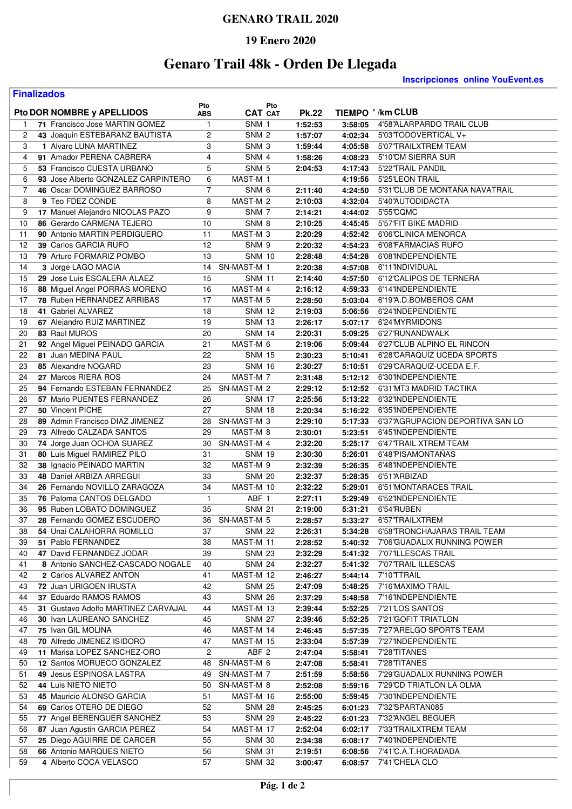### **GENARO TRAIL 2020**

#### **19 Enero 2020**

# **Genaro Trail 48k - Orden De Llegada**

**Finalizados**

**Inscripciones online YouEvent.es** 

| 71 Francisco Jose MARTIN GOMEZ<br>4'58"ALARPARDO TRAIL CLUB<br>$\mathbf{1}$<br>SNM 1<br>1:52:53<br>3:58:05<br>$\mathbf{1}$<br>$\overline{c}$<br>2<br>43 Joaquin ESTEBARANZ BAUTISTA<br>SNM <sub>2</sub><br>5'03'TODOVERTICAL V+<br>1:57:07<br>4:02:34<br>3<br>3<br>1 Alvaro LUNA MARTINEZ<br>SNM <sub>3</sub><br>5'07'TRAILXTREM TEAM<br>1:59:44<br>4:05:58<br>4<br>4<br>91 Amador PERENA CABRERA<br>SNM 4<br>5'10"CM SIERRA SUR<br>1:58:26<br>4:08:23<br>5<br>5<br>53 Francisco CUESTA URBANO<br>SNM <sub>5</sub><br>2:04:53<br>4:17:43<br>5'22"TRAIL PANDIL<br>93 Jose Alberto GONZALEZ CARPINTERO<br>6<br>MAST-M 1<br>5'25'LEON TRAIL<br>6<br>4:19:56<br>5'31'CLUB DE MONTAÑA NAVATRAIL<br>7<br>46 Oscar DOMINGUEZ BARROSO<br>7<br>SNM <sub>6</sub><br>2:11:40<br>4:24:50<br>9 Teo FDEZ CONDE<br>4:32:04<br>5'40"AUTODIDACTA<br>8<br>8<br>MAST-M 2<br>2:10:03<br>9<br>17 Manuel Alejandro NICOLAS PAZO<br>SNM <sub>7</sub><br>5'55'CQMC<br>9<br>2:14:21<br>4:44:02<br>10<br>10<br>86 Gerardo CARMENA TEJERO<br>SNM <sub>8</sub><br>5'57'FIT BIKE MADRID<br>2:10:25<br>4:45:45<br>11<br>90 Antonio MARTIN PERDIGUERO<br>MAST-M 3<br>6'06'CLINICA MENORCA<br>11<br>2:20:29<br>4:52:42<br>39 Carlos GARCIA RUFO<br>12<br>12<br>SNM <sub>9</sub><br>2:20:32<br>4:54:23<br>6'08'FARMACIAS RUFO<br>79 Arturo FORMARIZ POMBO<br>6'08'INDEPENDIENTE<br>13<br>13<br><b>SNM 10</b><br>2:28:48<br>4:54:28<br>14<br>SN-MAST-M 1<br>3 Jorge LAGO MACIA<br>14<br>2:20:38<br>4:57:08<br>6'11'INDIVIDUAL<br>15<br>15<br>29 Jose Luis ESCALERA ALAEZ<br><b>SNM 11</b><br>6'12'CALIPOS DE TERNERA<br>2:14:40<br>4:57:50<br>16<br>88 Miguel Angel PORRAS MORENO<br>16<br>MAST-M 4<br>2:16:12<br>4:59:33<br>6'14'INDEPENDIENTE<br>17<br>78 Ruben HERNANDEZ ARRIBAS<br>17<br>6'19"A.D.BOMBEROS CAM<br>MAST-M 5<br>2:28:50<br>5:03:04<br>18<br>41 Gabriel ALVAREZ<br>18<br>6'24'INDEPENDIENTE<br><b>SNM 12</b><br>2:19:03<br>5:06:56<br>19<br>19<br>67 Alejandro RUIZ MARTINEZ<br><b>SNM 13</b><br>6'24'MYRMIDONS<br>2:26:17<br>5:07:17<br>20<br>83 Raul MUROS<br>20<br><b>SNM 14</b><br>2:20:31<br>5:09:25<br>6'27'RUNANDWALK<br>21<br>21<br>92 Angel Miguel PEINADO GARCIA<br>MAST-M 6<br>6'27'CLUB ALPINO EL RINCON<br>2:19:06<br>5:09:44<br>22<br>81 Juan MEDINA PAUL<br>22<br>6'28'CARAQUIZ UCEDA SPORTS<br><b>SNM 15</b><br>2:30:23<br>5:10:41<br>23<br>85 Alexandre NOGARD<br>23<br><b>SNM 16</b><br>2:30:27<br>5:10:51<br>6'29'CARAQUIZ-UCEDA E.F.<br>MAST-M 7<br>24<br>27 Marcos RIERA ROS<br>24<br>6'30'INDEPENDIENTE<br>2:31:48<br>5:12:12<br>25<br>94 Fernando ESTEBAN FERNANDEZ<br>25<br>SN-MAST-M 2<br>2:29:12<br>5:12:52<br>6'31'MT3 MADRID TACTIKA<br>26<br>57 Mario PUENTES FERNANDEZ<br>26<br><b>SNM 17</b><br>6'32'INDEPENDIENTE<br>2:25:56<br>5:13:22<br>27<br>50 Vincent PICHE<br>27<br>2:20:34<br>5:16:22<br>6'35'INDEPENDIENTE<br><b>SNM 18</b><br>28<br>89 Admin Francisco DIAZ JIMENEZ<br>SN-MAST-M 3<br>6'37"AGRUPACION DEPORTIVA SAN LO<br>28<br>2:29:10<br>5:17:33<br>29<br>73 Alfredo CALZADA SANTOS<br>29<br>MAST-M 8<br>2:30:01<br>5:23:51<br>6'45'INDEPENDIENTE<br>SN-MAST-M 4<br>30<br>74 Jorge Juan OCHOA SUAREZ<br>30<br>6'47'TRAIL XTREM TEAM<br>2:32:20<br>5:25:17<br>31<br>31<br>80 Luis Miguel RAMIREZ PILO<br><b>SNM 19</b><br>2:30:30<br>5:26:01<br>6'48'PISAMONTANAS<br>32<br>38 Ignacio PEINADO MARTIN<br>32<br>MAST-M 9<br>2:32:39<br>5:26:35<br>6'48'INDEPENDIENTE<br>33<br>33<br>48 Daniel ARBIZA ARREGUI<br><b>SNM 20</b><br>2:32:37<br>6'51"ARBIZAD<br>5:28:35<br>MAST-M 10<br>6'51'MONTARACES TRAIL<br>34<br>26 Fernando NOVILLO ZARAGOZA<br>34<br>2:32:22<br>5:29:01<br>76 Paloma CANTOS DELGADO<br>ABF 1<br>35<br>$\mathbf{1}$<br>2:27:11<br>6'52'INDEPENDIENTE<br>5:29:49<br>36<br>95 Ruben LOBATO DOMINGUEZ<br>35<br><b>SNM 21</b><br>2:19:00<br>5:31:21<br>6'54'RUBEN<br>37<br>36<br>28 Fernando GOMEZ ESCUDERO<br>SN-MAST-M 5<br>6'57'TRAILXTREM<br>2:28:57<br>5:33:27<br>38<br>37<br>2:26:31<br>54 Unai CALAHORRA ROMILLO<br><b>SNM 22</b><br>5:34:28<br>6'58'TRONCHAJARAS TRAIL TEAM<br>51 Pablo FERNANDEZ<br>MAST-M 11<br>7'06'GUADALIX RUNNING POWER<br>38<br>2:28:52<br>39<br>5:40:32<br><b>SNM 23</b><br>40<br>47 David FERNANDEZ JODAR<br>2:32:29<br>5:41:32<br>7'07'ILLESCAS TRAIL<br>39<br>8 Antonio SANCHEZ-CASCADO NOGALE<br><b>SNM 24</b><br>2:32:27<br>7'07'TRAIL ILLESCAS<br>41<br>40<br>5:41:32<br>2 Carlos ALVAREZ ANTON<br>41<br>MAST-M 12<br>7'10'TTRAIL<br>42<br>2:46:27<br>5:44:14<br>72 Juan URIGOEN IRUSTA<br>42<br><b>SNM 25</b><br>7'16'MAXIMO TRAIL<br>43<br>2:47:09<br>5:48:25<br>37 Eduardo RAMOS RAMOS<br>43<br><b>SNM 26</b><br>7'16'INDEPENDIENTE<br>44<br>2:37:29<br>5:48:58<br>31 Gustavo Adolfo MARTINEZ CARVAJAL<br>44<br>MAST-M 13<br>2:39:44<br>5:52:25<br>7'21'LOS SANTOS<br>45<br><b>SNM 27</b><br>46<br>30 Ivan LAUREANO SANCHEZ<br>45<br>2:39:46<br>7'21'GOFIT TRIATLON<br>5:52:25<br>75 Ivan GIL MOLINA<br>46<br>MAST-M 14<br>2:46:45<br>5:57:35<br>7'27"ARELGO SPORTS TEAM<br>47<br>70 Alfredo JIMENEZ ISIDORO<br>47<br>MAST-M 15<br>7'27'INDEPENDIENTE<br>48<br>2:33:04<br>5:57:39<br>11 Marisa LOPEZ SANCHEZ-ORO<br>2<br>ABF <sub>2</sub><br>2:47:04<br>5:58:41<br>7'28'TITANES<br>49<br>12 Santos MORUECO GONZALEZ<br>SN-MAST-M 6<br>7'28'TITANES<br>50<br>2:47:08<br>5:58:41<br>48<br>49 Jesus ESPINOSA LASTRA<br>SN-MAST-M7<br>7'29'GUADALIX RUNNING POWER<br>51<br>2:51:59<br>5:58:56<br>49<br>52<br>44 Luis NIETO NIETO<br>SN-MAST-M 8<br>7'29'CD TRIATLON LA OLMA<br>50<br>2:52:08<br>5:59:16<br>45 Mauricio ALONSO GARCIA<br>2:55:00<br>5:59:45<br>53<br>51<br>MAST-M 16<br>7'30'INDEPENDIENTE<br>54<br>69 Carlos OTERO DE DIEGO<br>52<br><b>SNM 28</b><br>2:45:25<br>6:01:23<br>7'32'SPARTAN085<br>77 Angel BERENGUER SANCHEZ<br>53<br><b>SNM 29</b><br>7'32"ANGEL BEGUER<br>55<br>2:45:22<br>6:01:23<br>87 Juan Agustin GARCIA PEREZ<br>54<br>MAST-M 17<br>2:52:04<br>7'33'TRAILXTREM TEAM<br>56<br>6:02:17<br>25 Diego AGUIRRE DE CARCER<br>57<br>55<br><b>SNM 30</b><br>7'40'INDEPENDIENTE<br>2:34:38<br>6:08:17<br>58<br>66 Antonio MARQUES NIETO<br>56<br><b>SNM 31</b><br>2:19:51<br>7'41'C.A.T.HORADADA<br>6:08:56<br>59<br>4 Alberto COCA VELASCO<br>57<br>7'41'CHELA CLO<br>SNM 32<br>3:00:47<br>6:08:57 | Pto DOR NOMBRE y APELLIDOS | Pto<br><b>ABS</b> | Pto<br><b>CAT CAT</b> | <b>Pk.22</b> | TIEMPO '/km CLUB |
|-----------------------------------------------------------------------------------------------------------------------------------------------------------------------------------------------------------------------------------------------------------------------------------------------------------------------------------------------------------------------------------------------------------------------------------------------------------------------------------------------------------------------------------------------------------------------------------------------------------------------------------------------------------------------------------------------------------------------------------------------------------------------------------------------------------------------------------------------------------------------------------------------------------------------------------------------------------------------------------------------------------------------------------------------------------------------------------------------------------------------------------------------------------------------------------------------------------------------------------------------------------------------------------------------------------------------------------------------------------------------------------------------------------------------------------------------------------------------------------------------------------------------------------------------------------------------------------------------------------------------------------------------------------------------------------------------------------------------------------------------------------------------------------------------------------------------------------------------------------------------------------------------------------------------------------------------------------------------------------------------------------------------------------------------------------------------------------------------------------------------------------------------------------------------------------------------------------------------------------------------------------------------------------------------------------------------------------------------------------------------------------------------------------------------------------------------------------------------------------------------------------------------------------------------------------------------------------------------------------------------------------------------------------------------------------------------------------------------------------------------------------------------------------------------------------------------------------------------------------------------------------------------------------------------------------------------------------------------------------------------------------------------------------------------------------------------------------------------------------------------------------------------------------------------------------------------------------------------------------------------------------------------------------------------------------------------------------------------------------------------------------------------------------------------------------------------------------------------------------------------------------------------------------------------------------------------------------------------------------------------------------------------------------------------------------------------------------------------------------------------------------------------------------------------------------------------------------------------------------------------------------------------------------------------------------------------------------------------------------------------------------------------------------------------------------------------------------------------------------------------------------------------------------------------------------------------------------------------------------------------------------------------------------------------------------------------------------------------------------------------------------------------------------------------------------------------------------------------------------------------------------------------------------------------------------------------------------------------------------------------------------------------------------------------------------------------------------------------------------------------------------------------------------------------------------------------------------------------------------------------------------------------------------------------------------------------------------------------------------------------------------------------------------------------------------------------------------------------------------------------------------------------------------------------------------------------------------------------------------------------------------------------------------------------------------------------------------------------------------------------------------------------------------------------------------------------------------------------------------------------------------------------------------------------------------------------------------------------------------------------------------------------------------------------------------------------------------------------------------------------------------------------------------------------------------------------------------------------------------------------------------------------------------------------------------------------------------------------------------------------------------------------------------------------------------------------------------------------------------------------------------------------------------------------------------------------------------|----------------------------|-------------------|-----------------------|--------------|------------------|
|                                                                                                                                                                                                                                                                                                                                                                                                                                                                                                                                                                                                                                                                                                                                                                                                                                                                                                                                                                                                                                                                                                                                                                                                                                                                                                                                                                                                                                                                                                                                                                                                                                                                                                                                                                                                                                                                                                                                                                                                                                                                                                                                                                                                                                                                                                                                                                                                                                                                                                                                                                                                                                                                                                                                                                                                                                                                                                                                                                                                                                                                                                                                                                                                                                                                                                                                                                                                                                                                                                                                                                                                                                                                                                                                                                                                                                                                                                                                                                                                                                                                                                                                                                                                                                                                                                                                                                                                                                                                                                                                                                                                                                                                                                                                                                                                                                                                                                                                                                                                                                                                                                                                                                                                                                                                                                                                                                                                                                                                                                                                                                                                                                                                                                                                                                                                                                                                                                                                                                                                                                                                                                                                                                                                           |                            |                   |                       |              |                  |
|                                                                                                                                                                                                                                                                                                                                                                                                                                                                                                                                                                                                                                                                                                                                                                                                                                                                                                                                                                                                                                                                                                                                                                                                                                                                                                                                                                                                                                                                                                                                                                                                                                                                                                                                                                                                                                                                                                                                                                                                                                                                                                                                                                                                                                                                                                                                                                                                                                                                                                                                                                                                                                                                                                                                                                                                                                                                                                                                                                                                                                                                                                                                                                                                                                                                                                                                                                                                                                                                                                                                                                                                                                                                                                                                                                                                                                                                                                                                                                                                                                                                                                                                                                                                                                                                                                                                                                                                                                                                                                                                                                                                                                                                                                                                                                                                                                                                                                                                                                                                                                                                                                                                                                                                                                                                                                                                                                                                                                                                                                                                                                                                                                                                                                                                                                                                                                                                                                                                                                                                                                                                                                                                                                                                           |                            |                   |                       |              |                  |
|                                                                                                                                                                                                                                                                                                                                                                                                                                                                                                                                                                                                                                                                                                                                                                                                                                                                                                                                                                                                                                                                                                                                                                                                                                                                                                                                                                                                                                                                                                                                                                                                                                                                                                                                                                                                                                                                                                                                                                                                                                                                                                                                                                                                                                                                                                                                                                                                                                                                                                                                                                                                                                                                                                                                                                                                                                                                                                                                                                                                                                                                                                                                                                                                                                                                                                                                                                                                                                                                                                                                                                                                                                                                                                                                                                                                                                                                                                                                                                                                                                                                                                                                                                                                                                                                                                                                                                                                                                                                                                                                                                                                                                                                                                                                                                                                                                                                                                                                                                                                                                                                                                                                                                                                                                                                                                                                                                                                                                                                                                                                                                                                                                                                                                                                                                                                                                                                                                                                                                                                                                                                                                                                                                                                           |                            |                   |                       |              |                  |
|                                                                                                                                                                                                                                                                                                                                                                                                                                                                                                                                                                                                                                                                                                                                                                                                                                                                                                                                                                                                                                                                                                                                                                                                                                                                                                                                                                                                                                                                                                                                                                                                                                                                                                                                                                                                                                                                                                                                                                                                                                                                                                                                                                                                                                                                                                                                                                                                                                                                                                                                                                                                                                                                                                                                                                                                                                                                                                                                                                                                                                                                                                                                                                                                                                                                                                                                                                                                                                                                                                                                                                                                                                                                                                                                                                                                                                                                                                                                                                                                                                                                                                                                                                                                                                                                                                                                                                                                                                                                                                                                                                                                                                                                                                                                                                                                                                                                                                                                                                                                                                                                                                                                                                                                                                                                                                                                                                                                                                                                                                                                                                                                                                                                                                                                                                                                                                                                                                                                                                                                                                                                                                                                                                                                           |                            |                   |                       |              |                  |
|                                                                                                                                                                                                                                                                                                                                                                                                                                                                                                                                                                                                                                                                                                                                                                                                                                                                                                                                                                                                                                                                                                                                                                                                                                                                                                                                                                                                                                                                                                                                                                                                                                                                                                                                                                                                                                                                                                                                                                                                                                                                                                                                                                                                                                                                                                                                                                                                                                                                                                                                                                                                                                                                                                                                                                                                                                                                                                                                                                                                                                                                                                                                                                                                                                                                                                                                                                                                                                                                                                                                                                                                                                                                                                                                                                                                                                                                                                                                                                                                                                                                                                                                                                                                                                                                                                                                                                                                                                                                                                                                                                                                                                                                                                                                                                                                                                                                                                                                                                                                                                                                                                                                                                                                                                                                                                                                                                                                                                                                                                                                                                                                                                                                                                                                                                                                                                                                                                                                                                                                                                                                                                                                                                                                           |                            |                   |                       |              |                  |
|                                                                                                                                                                                                                                                                                                                                                                                                                                                                                                                                                                                                                                                                                                                                                                                                                                                                                                                                                                                                                                                                                                                                                                                                                                                                                                                                                                                                                                                                                                                                                                                                                                                                                                                                                                                                                                                                                                                                                                                                                                                                                                                                                                                                                                                                                                                                                                                                                                                                                                                                                                                                                                                                                                                                                                                                                                                                                                                                                                                                                                                                                                                                                                                                                                                                                                                                                                                                                                                                                                                                                                                                                                                                                                                                                                                                                                                                                                                                                                                                                                                                                                                                                                                                                                                                                                                                                                                                                                                                                                                                                                                                                                                                                                                                                                                                                                                                                                                                                                                                                                                                                                                                                                                                                                                                                                                                                                                                                                                                                                                                                                                                                                                                                                                                                                                                                                                                                                                                                                                                                                                                                                                                                                                                           |                            |                   |                       |              |                  |
|                                                                                                                                                                                                                                                                                                                                                                                                                                                                                                                                                                                                                                                                                                                                                                                                                                                                                                                                                                                                                                                                                                                                                                                                                                                                                                                                                                                                                                                                                                                                                                                                                                                                                                                                                                                                                                                                                                                                                                                                                                                                                                                                                                                                                                                                                                                                                                                                                                                                                                                                                                                                                                                                                                                                                                                                                                                                                                                                                                                                                                                                                                                                                                                                                                                                                                                                                                                                                                                                                                                                                                                                                                                                                                                                                                                                                                                                                                                                                                                                                                                                                                                                                                                                                                                                                                                                                                                                                                                                                                                                                                                                                                                                                                                                                                                                                                                                                                                                                                                                                                                                                                                                                                                                                                                                                                                                                                                                                                                                                                                                                                                                                                                                                                                                                                                                                                                                                                                                                                                                                                                                                                                                                                                                           |                            |                   |                       |              |                  |
|                                                                                                                                                                                                                                                                                                                                                                                                                                                                                                                                                                                                                                                                                                                                                                                                                                                                                                                                                                                                                                                                                                                                                                                                                                                                                                                                                                                                                                                                                                                                                                                                                                                                                                                                                                                                                                                                                                                                                                                                                                                                                                                                                                                                                                                                                                                                                                                                                                                                                                                                                                                                                                                                                                                                                                                                                                                                                                                                                                                                                                                                                                                                                                                                                                                                                                                                                                                                                                                                                                                                                                                                                                                                                                                                                                                                                                                                                                                                                                                                                                                                                                                                                                                                                                                                                                                                                                                                                                                                                                                                                                                                                                                                                                                                                                                                                                                                                                                                                                                                                                                                                                                                                                                                                                                                                                                                                                                                                                                                                                                                                                                                                                                                                                                                                                                                                                                                                                                                                                                                                                                                                                                                                                                                           |                            |                   |                       |              |                  |
|                                                                                                                                                                                                                                                                                                                                                                                                                                                                                                                                                                                                                                                                                                                                                                                                                                                                                                                                                                                                                                                                                                                                                                                                                                                                                                                                                                                                                                                                                                                                                                                                                                                                                                                                                                                                                                                                                                                                                                                                                                                                                                                                                                                                                                                                                                                                                                                                                                                                                                                                                                                                                                                                                                                                                                                                                                                                                                                                                                                                                                                                                                                                                                                                                                                                                                                                                                                                                                                                                                                                                                                                                                                                                                                                                                                                                                                                                                                                                                                                                                                                                                                                                                                                                                                                                                                                                                                                                                                                                                                                                                                                                                                                                                                                                                                                                                                                                                                                                                                                                                                                                                                                                                                                                                                                                                                                                                                                                                                                                                                                                                                                                                                                                                                                                                                                                                                                                                                                                                                                                                                                                                                                                                                                           |                            |                   |                       |              |                  |
|                                                                                                                                                                                                                                                                                                                                                                                                                                                                                                                                                                                                                                                                                                                                                                                                                                                                                                                                                                                                                                                                                                                                                                                                                                                                                                                                                                                                                                                                                                                                                                                                                                                                                                                                                                                                                                                                                                                                                                                                                                                                                                                                                                                                                                                                                                                                                                                                                                                                                                                                                                                                                                                                                                                                                                                                                                                                                                                                                                                                                                                                                                                                                                                                                                                                                                                                                                                                                                                                                                                                                                                                                                                                                                                                                                                                                                                                                                                                                                                                                                                                                                                                                                                                                                                                                                                                                                                                                                                                                                                                                                                                                                                                                                                                                                                                                                                                                                                                                                                                                                                                                                                                                                                                                                                                                                                                                                                                                                                                                                                                                                                                                                                                                                                                                                                                                                                                                                                                                                                                                                                                                                                                                                                                           |                            |                   |                       |              |                  |
|                                                                                                                                                                                                                                                                                                                                                                                                                                                                                                                                                                                                                                                                                                                                                                                                                                                                                                                                                                                                                                                                                                                                                                                                                                                                                                                                                                                                                                                                                                                                                                                                                                                                                                                                                                                                                                                                                                                                                                                                                                                                                                                                                                                                                                                                                                                                                                                                                                                                                                                                                                                                                                                                                                                                                                                                                                                                                                                                                                                                                                                                                                                                                                                                                                                                                                                                                                                                                                                                                                                                                                                                                                                                                                                                                                                                                                                                                                                                                                                                                                                                                                                                                                                                                                                                                                                                                                                                                                                                                                                                                                                                                                                                                                                                                                                                                                                                                                                                                                                                                                                                                                                                                                                                                                                                                                                                                                                                                                                                                                                                                                                                                                                                                                                                                                                                                                                                                                                                                                                                                                                                                                                                                                                                           |                            |                   |                       |              |                  |
|                                                                                                                                                                                                                                                                                                                                                                                                                                                                                                                                                                                                                                                                                                                                                                                                                                                                                                                                                                                                                                                                                                                                                                                                                                                                                                                                                                                                                                                                                                                                                                                                                                                                                                                                                                                                                                                                                                                                                                                                                                                                                                                                                                                                                                                                                                                                                                                                                                                                                                                                                                                                                                                                                                                                                                                                                                                                                                                                                                                                                                                                                                                                                                                                                                                                                                                                                                                                                                                                                                                                                                                                                                                                                                                                                                                                                                                                                                                                                                                                                                                                                                                                                                                                                                                                                                                                                                                                                                                                                                                                                                                                                                                                                                                                                                                                                                                                                                                                                                                                                                                                                                                                                                                                                                                                                                                                                                                                                                                                                                                                                                                                                                                                                                                                                                                                                                                                                                                                                                                                                                                                                                                                                                                                           |                            |                   |                       |              |                  |
|                                                                                                                                                                                                                                                                                                                                                                                                                                                                                                                                                                                                                                                                                                                                                                                                                                                                                                                                                                                                                                                                                                                                                                                                                                                                                                                                                                                                                                                                                                                                                                                                                                                                                                                                                                                                                                                                                                                                                                                                                                                                                                                                                                                                                                                                                                                                                                                                                                                                                                                                                                                                                                                                                                                                                                                                                                                                                                                                                                                                                                                                                                                                                                                                                                                                                                                                                                                                                                                                                                                                                                                                                                                                                                                                                                                                                                                                                                                                                                                                                                                                                                                                                                                                                                                                                                                                                                                                                                                                                                                                                                                                                                                                                                                                                                                                                                                                                                                                                                                                                                                                                                                                                                                                                                                                                                                                                                                                                                                                                                                                                                                                                                                                                                                                                                                                                                                                                                                                                                                                                                                                                                                                                                                                           |                            |                   |                       |              |                  |
|                                                                                                                                                                                                                                                                                                                                                                                                                                                                                                                                                                                                                                                                                                                                                                                                                                                                                                                                                                                                                                                                                                                                                                                                                                                                                                                                                                                                                                                                                                                                                                                                                                                                                                                                                                                                                                                                                                                                                                                                                                                                                                                                                                                                                                                                                                                                                                                                                                                                                                                                                                                                                                                                                                                                                                                                                                                                                                                                                                                                                                                                                                                                                                                                                                                                                                                                                                                                                                                                                                                                                                                                                                                                                                                                                                                                                                                                                                                                                                                                                                                                                                                                                                                                                                                                                                                                                                                                                                                                                                                                                                                                                                                                                                                                                                                                                                                                                                                                                                                                                                                                                                                                                                                                                                                                                                                                                                                                                                                                                                                                                                                                                                                                                                                                                                                                                                                                                                                                                                                                                                                                                                                                                                                                           |                            |                   |                       |              |                  |
|                                                                                                                                                                                                                                                                                                                                                                                                                                                                                                                                                                                                                                                                                                                                                                                                                                                                                                                                                                                                                                                                                                                                                                                                                                                                                                                                                                                                                                                                                                                                                                                                                                                                                                                                                                                                                                                                                                                                                                                                                                                                                                                                                                                                                                                                                                                                                                                                                                                                                                                                                                                                                                                                                                                                                                                                                                                                                                                                                                                                                                                                                                                                                                                                                                                                                                                                                                                                                                                                                                                                                                                                                                                                                                                                                                                                                                                                                                                                                                                                                                                                                                                                                                                                                                                                                                                                                                                                                                                                                                                                                                                                                                                                                                                                                                                                                                                                                                                                                                                                                                                                                                                                                                                                                                                                                                                                                                                                                                                                                                                                                                                                                                                                                                                                                                                                                                                                                                                                                                                                                                                                                                                                                                                                           |                            |                   |                       |              |                  |
|                                                                                                                                                                                                                                                                                                                                                                                                                                                                                                                                                                                                                                                                                                                                                                                                                                                                                                                                                                                                                                                                                                                                                                                                                                                                                                                                                                                                                                                                                                                                                                                                                                                                                                                                                                                                                                                                                                                                                                                                                                                                                                                                                                                                                                                                                                                                                                                                                                                                                                                                                                                                                                                                                                                                                                                                                                                                                                                                                                                                                                                                                                                                                                                                                                                                                                                                                                                                                                                                                                                                                                                                                                                                                                                                                                                                                                                                                                                                                                                                                                                                                                                                                                                                                                                                                                                                                                                                                                                                                                                                                                                                                                                                                                                                                                                                                                                                                                                                                                                                                                                                                                                                                                                                                                                                                                                                                                                                                                                                                                                                                                                                                                                                                                                                                                                                                                                                                                                                                                                                                                                                                                                                                                                                           |                            |                   |                       |              |                  |
|                                                                                                                                                                                                                                                                                                                                                                                                                                                                                                                                                                                                                                                                                                                                                                                                                                                                                                                                                                                                                                                                                                                                                                                                                                                                                                                                                                                                                                                                                                                                                                                                                                                                                                                                                                                                                                                                                                                                                                                                                                                                                                                                                                                                                                                                                                                                                                                                                                                                                                                                                                                                                                                                                                                                                                                                                                                                                                                                                                                                                                                                                                                                                                                                                                                                                                                                                                                                                                                                                                                                                                                                                                                                                                                                                                                                                                                                                                                                                                                                                                                                                                                                                                                                                                                                                                                                                                                                                                                                                                                                                                                                                                                                                                                                                                                                                                                                                                                                                                                                                                                                                                                                                                                                                                                                                                                                                                                                                                                                                                                                                                                                                                                                                                                                                                                                                                                                                                                                                                                                                                                                                                                                                                                                           |                            |                   |                       |              |                  |
|                                                                                                                                                                                                                                                                                                                                                                                                                                                                                                                                                                                                                                                                                                                                                                                                                                                                                                                                                                                                                                                                                                                                                                                                                                                                                                                                                                                                                                                                                                                                                                                                                                                                                                                                                                                                                                                                                                                                                                                                                                                                                                                                                                                                                                                                                                                                                                                                                                                                                                                                                                                                                                                                                                                                                                                                                                                                                                                                                                                                                                                                                                                                                                                                                                                                                                                                                                                                                                                                                                                                                                                                                                                                                                                                                                                                                                                                                                                                                                                                                                                                                                                                                                                                                                                                                                                                                                                                                                                                                                                                                                                                                                                                                                                                                                                                                                                                                                                                                                                                                                                                                                                                                                                                                                                                                                                                                                                                                                                                                                                                                                                                                                                                                                                                                                                                                                                                                                                                                                                                                                                                                                                                                                                                           |                            |                   |                       |              |                  |
|                                                                                                                                                                                                                                                                                                                                                                                                                                                                                                                                                                                                                                                                                                                                                                                                                                                                                                                                                                                                                                                                                                                                                                                                                                                                                                                                                                                                                                                                                                                                                                                                                                                                                                                                                                                                                                                                                                                                                                                                                                                                                                                                                                                                                                                                                                                                                                                                                                                                                                                                                                                                                                                                                                                                                                                                                                                                                                                                                                                                                                                                                                                                                                                                                                                                                                                                                                                                                                                                                                                                                                                                                                                                                                                                                                                                                                                                                                                                                                                                                                                                                                                                                                                                                                                                                                                                                                                                                                                                                                                                                                                                                                                                                                                                                                                                                                                                                                                                                                                                                                                                                                                                                                                                                                                                                                                                                                                                                                                                                                                                                                                                                                                                                                                                                                                                                                                                                                                                                                                                                                                                                                                                                                                                           |                            |                   |                       |              |                  |
|                                                                                                                                                                                                                                                                                                                                                                                                                                                                                                                                                                                                                                                                                                                                                                                                                                                                                                                                                                                                                                                                                                                                                                                                                                                                                                                                                                                                                                                                                                                                                                                                                                                                                                                                                                                                                                                                                                                                                                                                                                                                                                                                                                                                                                                                                                                                                                                                                                                                                                                                                                                                                                                                                                                                                                                                                                                                                                                                                                                                                                                                                                                                                                                                                                                                                                                                                                                                                                                                                                                                                                                                                                                                                                                                                                                                                                                                                                                                                                                                                                                                                                                                                                                                                                                                                                                                                                                                                                                                                                                                                                                                                                                                                                                                                                                                                                                                                                                                                                                                                                                                                                                                                                                                                                                                                                                                                                                                                                                                                                                                                                                                                                                                                                                                                                                                                                                                                                                                                                                                                                                                                                                                                                                                           |                            |                   |                       |              |                  |
|                                                                                                                                                                                                                                                                                                                                                                                                                                                                                                                                                                                                                                                                                                                                                                                                                                                                                                                                                                                                                                                                                                                                                                                                                                                                                                                                                                                                                                                                                                                                                                                                                                                                                                                                                                                                                                                                                                                                                                                                                                                                                                                                                                                                                                                                                                                                                                                                                                                                                                                                                                                                                                                                                                                                                                                                                                                                                                                                                                                                                                                                                                                                                                                                                                                                                                                                                                                                                                                                                                                                                                                                                                                                                                                                                                                                                                                                                                                                                                                                                                                                                                                                                                                                                                                                                                                                                                                                                                                                                                                                                                                                                                                                                                                                                                                                                                                                                                                                                                                                                                                                                                                                                                                                                                                                                                                                                                                                                                                                                                                                                                                                                                                                                                                                                                                                                                                                                                                                                                                                                                                                                                                                                                                                           |                            |                   |                       |              |                  |
|                                                                                                                                                                                                                                                                                                                                                                                                                                                                                                                                                                                                                                                                                                                                                                                                                                                                                                                                                                                                                                                                                                                                                                                                                                                                                                                                                                                                                                                                                                                                                                                                                                                                                                                                                                                                                                                                                                                                                                                                                                                                                                                                                                                                                                                                                                                                                                                                                                                                                                                                                                                                                                                                                                                                                                                                                                                                                                                                                                                                                                                                                                                                                                                                                                                                                                                                                                                                                                                                                                                                                                                                                                                                                                                                                                                                                                                                                                                                                                                                                                                                                                                                                                                                                                                                                                                                                                                                                                                                                                                                                                                                                                                                                                                                                                                                                                                                                                                                                                                                                                                                                                                                                                                                                                                                                                                                                                                                                                                                                                                                                                                                                                                                                                                                                                                                                                                                                                                                                                                                                                                                                                                                                                                                           |                            |                   |                       |              |                  |
|                                                                                                                                                                                                                                                                                                                                                                                                                                                                                                                                                                                                                                                                                                                                                                                                                                                                                                                                                                                                                                                                                                                                                                                                                                                                                                                                                                                                                                                                                                                                                                                                                                                                                                                                                                                                                                                                                                                                                                                                                                                                                                                                                                                                                                                                                                                                                                                                                                                                                                                                                                                                                                                                                                                                                                                                                                                                                                                                                                                                                                                                                                                                                                                                                                                                                                                                                                                                                                                                                                                                                                                                                                                                                                                                                                                                                                                                                                                                                                                                                                                                                                                                                                                                                                                                                                                                                                                                                                                                                                                                                                                                                                                                                                                                                                                                                                                                                                                                                                                                                                                                                                                                                                                                                                                                                                                                                                                                                                                                                                                                                                                                                                                                                                                                                                                                                                                                                                                                                                                                                                                                                                                                                                                                           |                            |                   |                       |              |                  |
|                                                                                                                                                                                                                                                                                                                                                                                                                                                                                                                                                                                                                                                                                                                                                                                                                                                                                                                                                                                                                                                                                                                                                                                                                                                                                                                                                                                                                                                                                                                                                                                                                                                                                                                                                                                                                                                                                                                                                                                                                                                                                                                                                                                                                                                                                                                                                                                                                                                                                                                                                                                                                                                                                                                                                                                                                                                                                                                                                                                                                                                                                                                                                                                                                                                                                                                                                                                                                                                                                                                                                                                                                                                                                                                                                                                                                                                                                                                                                                                                                                                                                                                                                                                                                                                                                                                                                                                                                                                                                                                                                                                                                                                                                                                                                                                                                                                                                                                                                                                                                                                                                                                                                                                                                                                                                                                                                                                                                                                                                                                                                                                                                                                                                                                                                                                                                                                                                                                                                                                                                                                                                                                                                                                                           |                            |                   |                       |              |                  |
|                                                                                                                                                                                                                                                                                                                                                                                                                                                                                                                                                                                                                                                                                                                                                                                                                                                                                                                                                                                                                                                                                                                                                                                                                                                                                                                                                                                                                                                                                                                                                                                                                                                                                                                                                                                                                                                                                                                                                                                                                                                                                                                                                                                                                                                                                                                                                                                                                                                                                                                                                                                                                                                                                                                                                                                                                                                                                                                                                                                                                                                                                                                                                                                                                                                                                                                                                                                                                                                                                                                                                                                                                                                                                                                                                                                                                                                                                                                                                                                                                                                                                                                                                                                                                                                                                                                                                                                                                                                                                                                                                                                                                                                                                                                                                                                                                                                                                                                                                                                                                                                                                                                                                                                                                                                                                                                                                                                                                                                                                                                                                                                                                                                                                                                                                                                                                                                                                                                                                                                                                                                                                                                                                                                                           |                            |                   |                       |              |                  |
|                                                                                                                                                                                                                                                                                                                                                                                                                                                                                                                                                                                                                                                                                                                                                                                                                                                                                                                                                                                                                                                                                                                                                                                                                                                                                                                                                                                                                                                                                                                                                                                                                                                                                                                                                                                                                                                                                                                                                                                                                                                                                                                                                                                                                                                                                                                                                                                                                                                                                                                                                                                                                                                                                                                                                                                                                                                                                                                                                                                                                                                                                                                                                                                                                                                                                                                                                                                                                                                                                                                                                                                                                                                                                                                                                                                                                                                                                                                                                                                                                                                                                                                                                                                                                                                                                                                                                                                                                                                                                                                                                                                                                                                                                                                                                                                                                                                                                                                                                                                                                                                                                                                                                                                                                                                                                                                                                                                                                                                                                                                                                                                                                                                                                                                                                                                                                                                                                                                                                                                                                                                                                                                                                                                                           |                            |                   |                       |              |                  |
|                                                                                                                                                                                                                                                                                                                                                                                                                                                                                                                                                                                                                                                                                                                                                                                                                                                                                                                                                                                                                                                                                                                                                                                                                                                                                                                                                                                                                                                                                                                                                                                                                                                                                                                                                                                                                                                                                                                                                                                                                                                                                                                                                                                                                                                                                                                                                                                                                                                                                                                                                                                                                                                                                                                                                                                                                                                                                                                                                                                                                                                                                                                                                                                                                                                                                                                                                                                                                                                                                                                                                                                                                                                                                                                                                                                                                                                                                                                                                                                                                                                                                                                                                                                                                                                                                                                                                                                                                                                                                                                                                                                                                                                                                                                                                                                                                                                                                                                                                                                                                                                                                                                                                                                                                                                                                                                                                                                                                                                                                                                                                                                                                                                                                                                                                                                                                                                                                                                                                                                                                                                                                                                                                                                                           |                            |                   |                       |              |                  |
|                                                                                                                                                                                                                                                                                                                                                                                                                                                                                                                                                                                                                                                                                                                                                                                                                                                                                                                                                                                                                                                                                                                                                                                                                                                                                                                                                                                                                                                                                                                                                                                                                                                                                                                                                                                                                                                                                                                                                                                                                                                                                                                                                                                                                                                                                                                                                                                                                                                                                                                                                                                                                                                                                                                                                                                                                                                                                                                                                                                                                                                                                                                                                                                                                                                                                                                                                                                                                                                                                                                                                                                                                                                                                                                                                                                                                                                                                                                                                                                                                                                                                                                                                                                                                                                                                                                                                                                                                                                                                                                                                                                                                                                                                                                                                                                                                                                                                                                                                                                                                                                                                                                                                                                                                                                                                                                                                                                                                                                                                                                                                                                                                                                                                                                                                                                                                                                                                                                                                                                                                                                                                                                                                                                                           |                            |                   |                       |              |                  |
|                                                                                                                                                                                                                                                                                                                                                                                                                                                                                                                                                                                                                                                                                                                                                                                                                                                                                                                                                                                                                                                                                                                                                                                                                                                                                                                                                                                                                                                                                                                                                                                                                                                                                                                                                                                                                                                                                                                                                                                                                                                                                                                                                                                                                                                                                                                                                                                                                                                                                                                                                                                                                                                                                                                                                                                                                                                                                                                                                                                                                                                                                                                                                                                                                                                                                                                                                                                                                                                                                                                                                                                                                                                                                                                                                                                                                                                                                                                                                                                                                                                                                                                                                                                                                                                                                                                                                                                                                                                                                                                                                                                                                                                                                                                                                                                                                                                                                                                                                                                                                                                                                                                                                                                                                                                                                                                                                                                                                                                                                                                                                                                                                                                                                                                                                                                                                                                                                                                                                                                                                                                                                                                                                                                                           |                            |                   |                       |              |                  |
|                                                                                                                                                                                                                                                                                                                                                                                                                                                                                                                                                                                                                                                                                                                                                                                                                                                                                                                                                                                                                                                                                                                                                                                                                                                                                                                                                                                                                                                                                                                                                                                                                                                                                                                                                                                                                                                                                                                                                                                                                                                                                                                                                                                                                                                                                                                                                                                                                                                                                                                                                                                                                                                                                                                                                                                                                                                                                                                                                                                                                                                                                                                                                                                                                                                                                                                                                                                                                                                                                                                                                                                                                                                                                                                                                                                                                                                                                                                                                                                                                                                                                                                                                                                                                                                                                                                                                                                                                                                                                                                                                                                                                                                                                                                                                                                                                                                                                                                                                                                                                                                                                                                                                                                                                                                                                                                                                                                                                                                                                                                                                                                                                                                                                                                                                                                                                                                                                                                                                                                                                                                                                                                                                                                                           |                            |                   |                       |              |                  |
|                                                                                                                                                                                                                                                                                                                                                                                                                                                                                                                                                                                                                                                                                                                                                                                                                                                                                                                                                                                                                                                                                                                                                                                                                                                                                                                                                                                                                                                                                                                                                                                                                                                                                                                                                                                                                                                                                                                                                                                                                                                                                                                                                                                                                                                                                                                                                                                                                                                                                                                                                                                                                                                                                                                                                                                                                                                                                                                                                                                                                                                                                                                                                                                                                                                                                                                                                                                                                                                                                                                                                                                                                                                                                                                                                                                                                                                                                                                                                                                                                                                                                                                                                                                                                                                                                                                                                                                                                                                                                                                                                                                                                                                                                                                                                                                                                                                                                                                                                                                                                                                                                                                                                                                                                                                                                                                                                                                                                                                                                                                                                                                                                                                                                                                                                                                                                                                                                                                                                                                                                                                                                                                                                                                                           |                            |                   |                       |              |                  |
|                                                                                                                                                                                                                                                                                                                                                                                                                                                                                                                                                                                                                                                                                                                                                                                                                                                                                                                                                                                                                                                                                                                                                                                                                                                                                                                                                                                                                                                                                                                                                                                                                                                                                                                                                                                                                                                                                                                                                                                                                                                                                                                                                                                                                                                                                                                                                                                                                                                                                                                                                                                                                                                                                                                                                                                                                                                                                                                                                                                                                                                                                                                                                                                                                                                                                                                                                                                                                                                                                                                                                                                                                                                                                                                                                                                                                                                                                                                                                                                                                                                                                                                                                                                                                                                                                                                                                                                                                                                                                                                                                                                                                                                                                                                                                                                                                                                                                                                                                                                                                                                                                                                                                                                                                                                                                                                                                                                                                                                                                                                                                                                                                                                                                                                                                                                                                                                                                                                                                                                                                                                                                                                                                                                                           |                            |                   |                       |              |                  |
|                                                                                                                                                                                                                                                                                                                                                                                                                                                                                                                                                                                                                                                                                                                                                                                                                                                                                                                                                                                                                                                                                                                                                                                                                                                                                                                                                                                                                                                                                                                                                                                                                                                                                                                                                                                                                                                                                                                                                                                                                                                                                                                                                                                                                                                                                                                                                                                                                                                                                                                                                                                                                                                                                                                                                                                                                                                                                                                                                                                                                                                                                                                                                                                                                                                                                                                                                                                                                                                                                                                                                                                                                                                                                                                                                                                                                                                                                                                                                                                                                                                                                                                                                                                                                                                                                                                                                                                                                                                                                                                                                                                                                                                                                                                                                                                                                                                                                                                                                                                                                                                                                                                                                                                                                                                                                                                                                                                                                                                                                                                                                                                                                                                                                                                                                                                                                                                                                                                                                                                                                                                                                                                                                                                                           |                            |                   |                       |              |                  |
|                                                                                                                                                                                                                                                                                                                                                                                                                                                                                                                                                                                                                                                                                                                                                                                                                                                                                                                                                                                                                                                                                                                                                                                                                                                                                                                                                                                                                                                                                                                                                                                                                                                                                                                                                                                                                                                                                                                                                                                                                                                                                                                                                                                                                                                                                                                                                                                                                                                                                                                                                                                                                                                                                                                                                                                                                                                                                                                                                                                                                                                                                                                                                                                                                                                                                                                                                                                                                                                                                                                                                                                                                                                                                                                                                                                                                                                                                                                                                                                                                                                                                                                                                                                                                                                                                                                                                                                                                                                                                                                                                                                                                                                                                                                                                                                                                                                                                                                                                                                                                                                                                                                                                                                                                                                                                                                                                                                                                                                                                                                                                                                                                                                                                                                                                                                                                                                                                                                                                                                                                                                                                                                                                                                                           |                            |                   |                       |              |                  |
|                                                                                                                                                                                                                                                                                                                                                                                                                                                                                                                                                                                                                                                                                                                                                                                                                                                                                                                                                                                                                                                                                                                                                                                                                                                                                                                                                                                                                                                                                                                                                                                                                                                                                                                                                                                                                                                                                                                                                                                                                                                                                                                                                                                                                                                                                                                                                                                                                                                                                                                                                                                                                                                                                                                                                                                                                                                                                                                                                                                                                                                                                                                                                                                                                                                                                                                                                                                                                                                                                                                                                                                                                                                                                                                                                                                                                                                                                                                                                                                                                                                                                                                                                                                                                                                                                                                                                                                                                                                                                                                                                                                                                                                                                                                                                                                                                                                                                                                                                                                                                                                                                                                                                                                                                                                                                                                                                                                                                                                                                                                                                                                                                                                                                                                                                                                                                                                                                                                                                                                                                                                                                                                                                                                                           |                            |                   |                       |              |                  |
|                                                                                                                                                                                                                                                                                                                                                                                                                                                                                                                                                                                                                                                                                                                                                                                                                                                                                                                                                                                                                                                                                                                                                                                                                                                                                                                                                                                                                                                                                                                                                                                                                                                                                                                                                                                                                                                                                                                                                                                                                                                                                                                                                                                                                                                                                                                                                                                                                                                                                                                                                                                                                                                                                                                                                                                                                                                                                                                                                                                                                                                                                                                                                                                                                                                                                                                                                                                                                                                                                                                                                                                                                                                                                                                                                                                                                                                                                                                                                                                                                                                                                                                                                                                                                                                                                                                                                                                                                                                                                                                                                                                                                                                                                                                                                                                                                                                                                                                                                                                                                                                                                                                                                                                                                                                                                                                                                                                                                                                                                                                                                                                                                                                                                                                                                                                                                                                                                                                                                                                                                                                                                                                                                                                                           |                            |                   |                       |              |                  |
|                                                                                                                                                                                                                                                                                                                                                                                                                                                                                                                                                                                                                                                                                                                                                                                                                                                                                                                                                                                                                                                                                                                                                                                                                                                                                                                                                                                                                                                                                                                                                                                                                                                                                                                                                                                                                                                                                                                                                                                                                                                                                                                                                                                                                                                                                                                                                                                                                                                                                                                                                                                                                                                                                                                                                                                                                                                                                                                                                                                                                                                                                                                                                                                                                                                                                                                                                                                                                                                                                                                                                                                                                                                                                                                                                                                                                                                                                                                                                                                                                                                                                                                                                                                                                                                                                                                                                                                                                                                                                                                                                                                                                                                                                                                                                                                                                                                                                                                                                                                                                                                                                                                                                                                                                                                                                                                                                                                                                                                                                                                                                                                                                                                                                                                                                                                                                                                                                                                                                                                                                                                                                                                                                                                                           |                            |                   |                       |              |                  |
|                                                                                                                                                                                                                                                                                                                                                                                                                                                                                                                                                                                                                                                                                                                                                                                                                                                                                                                                                                                                                                                                                                                                                                                                                                                                                                                                                                                                                                                                                                                                                                                                                                                                                                                                                                                                                                                                                                                                                                                                                                                                                                                                                                                                                                                                                                                                                                                                                                                                                                                                                                                                                                                                                                                                                                                                                                                                                                                                                                                                                                                                                                                                                                                                                                                                                                                                                                                                                                                                                                                                                                                                                                                                                                                                                                                                                                                                                                                                                                                                                                                                                                                                                                                                                                                                                                                                                                                                                                                                                                                                                                                                                                                                                                                                                                                                                                                                                                                                                                                                                                                                                                                                                                                                                                                                                                                                                                                                                                                                                                                                                                                                                                                                                                                                                                                                                                                                                                                                                                                                                                                                                                                                                                                                           |                            |                   |                       |              |                  |
|                                                                                                                                                                                                                                                                                                                                                                                                                                                                                                                                                                                                                                                                                                                                                                                                                                                                                                                                                                                                                                                                                                                                                                                                                                                                                                                                                                                                                                                                                                                                                                                                                                                                                                                                                                                                                                                                                                                                                                                                                                                                                                                                                                                                                                                                                                                                                                                                                                                                                                                                                                                                                                                                                                                                                                                                                                                                                                                                                                                                                                                                                                                                                                                                                                                                                                                                                                                                                                                                                                                                                                                                                                                                                                                                                                                                                                                                                                                                                                                                                                                                                                                                                                                                                                                                                                                                                                                                                                                                                                                                                                                                                                                                                                                                                                                                                                                                                                                                                                                                                                                                                                                                                                                                                                                                                                                                                                                                                                                                                                                                                                                                                                                                                                                                                                                                                                                                                                                                                                                                                                                                                                                                                                                                           |                            |                   |                       |              |                  |
|                                                                                                                                                                                                                                                                                                                                                                                                                                                                                                                                                                                                                                                                                                                                                                                                                                                                                                                                                                                                                                                                                                                                                                                                                                                                                                                                                                                                                                                                                                                                                                                                                                                                                                                                                                                                                                                                                                                                                                                                                                                                                                                                                                                                                                                                                                                                                                                                                                                                                                                                                                                                                                                                                                                                                                                                                                                                                                                                                                                                                                                                                                                                                                                                                                                                                                                                                                                                                                                                                                                                                                                                                                                                                                                                                                                                                                                                                                                                                                                                                                                                                                                                                                                                                                                                                                                                                                                                                                                                                                                                                                                                                                                                                                                                                                                                                                                                                                                                                                                                                                                                                                                                                                                                                                                                                                                                                                                                                                                                                                                                                                                                                                                                                                                                                                                                                                                                                                                                                                                                                                                                                                                                                                                                           |                            |                   |                       |              |                  |
|                                                                                                                                                                                                                                                                                                                                                                                                                                                                                                                                                                                                                                                                                                                                                                                                                                                                                                                                                                                                                                                                                                                                                                                                                                                                                                                                                                                                                                                                                                                                                                                                                                                                                                                                                                                                                                                                                                                                                                                                                                                                                                                                                                                                                                                                                                                                                                                                                                                                                                                                                                                                                                                                                                                                                                                                                                                                                                                                                                                                                                                                                                                                                                                                                                                                                                                                                                                                                                                                                                                                                                                                                                                                                                                                                                                                                                                                                                                                                                                                                                                                                                                                                                                                                                                                                                                                                                                                                                                                                                                                                                                                                                                                                                                                                                                                                                                                                                                                                                                                                                                                                                                                                                                                                                                                                                                                                                                                                                                                                                                                                                                                                                                                                                                                                                                                                                                                                                                                                                                                                                                                                                                                                                                                           |                            |                   |                       |              |                  |
|                                                                                                                                                                                                                                                                                                                                                                                                                                                                                                                                                                                                                                                                                                                                                                                                                                                                                                                                                                                                                                                                                                                                                                                                                                                                                                                                                                                                                                                                                                                                                                                                                                                                                                                                                                                                                                                                                                                                                                                                                                                                                                                                                                                                                                                                                                                                                                                                                                                                                                                                                                                                                                                                                                                                                                                                                                                                                                                                                                                                                                                                                                                                                                                                                                                                                                                                                                                                                                                                                                                                                                                                                                                                                                                                                                                                                                                                                                                                                                                                                                                                                                                                                                                                                                                                                                                                                                                                                                                                                                                                                                                                                                                                                                                                                                                                                                                                                                                                                                                                                                                                                                                                                                                                                                                                                                                                                                                                                                                                                                                                                                                                                                                                                                                                                                                                                                                                                                                                                                                                                                                                                                                                                                                                           |                            |                   |                       |              |                  |
|                                                                                                                                                                                                                                                                                                                                                                                                                                                                                                                                                                                                                                                                                                                                                                                                                                                                                                                                                                                                                                                                                                                                                                                                                                                                                                                                                                                                                                                                                                                                                                                                                                                                                                                                                                                                                                                                                                                                                                                                                                                                                                                                                                                                                                                                                                                                                                                                                                                                                                                                                                                                                                                                                                                                                                                                                                                                                                                                                                                                                                                                                                                                                                                                                                                                                                                                                                                                                                                                                                                                                                                                                                                                                                                                                                                                                                                                                                                                                                                                                                                                                                                                                                                                                                                                                                                                                                                                                                                                                                                                                                                                                                                                                                                                                                                                                                                                                                                                                                                                                                                                                                                                                                                                                                                                                                                                                                                                                                                                                                                                                                                                                                                                                                                                                                                                                                                                                                                                                                                                                                                                                                                                                                                                           |                            |                   |                       |              |                  |
|                                                                                                                                                                                                                                                                                                                                                                                                                                                                                                                                                                                                                                                                                                                                                                                                                                                                                                                                                                                                                                                                                                                                                                                                                                                                                                                                                                                                                                                                                                                                                                                                                                                                                                                                                                                                                                                                                                                                                                                                                                                                                                                                                                                                                                                                                                                                                                                                                                                                                                                                                                                                                                                                                                                                                                                                                                                                                                                                                                                                                                                                                                                                                                                                                                                                                                                                                                                                                                                                                                                                                                                                                                                                                                                                                                                                                                                                                                                                                                                                                                                                                                                                                                                                                                                                                                                                                                                                                                                                                                                                                                                                                                                                                                                                                                                                                                                                                                                                                                                                                                                                                                                                                                                                                                                                                                                                                                                                                                                                                                                                                                                                                                                                                                                                                                                                                                                                                                                                                                                                                                                                                                                                                                                                           |                            |                   |                       |              |                  |
|                                                                                                                                                                                                                                                                                                                                                                                                                                                                                                                                                                                                                                                                                                                                                                                                                                                                                                                                                                                                                                                                                                                                                                                                                                                                                                                                                                                                                                                                                                                                                                                                                                                                                                                                                                                                                                                                                                                                                                                                                                                                                                                                                                                                                                                                                                                                                                                                                                                                                                                                                                                                                                                                                                                                                                                                                                                                                                                                                                                                                                                                                                                                                                                                                                                                                                                                                                                                                                                                                                                                                                                                                                                                                                                                                                                                                                                                                                                                                                                                                                                                                                                                                                                                                                                                                                                                                                                                                                                                                                                                                                                                                                                                                                                                                                                                                                                                                                                                                                                                                                                                                                                                                                                                                                                                                                                                                                                                                                                                                                                                                                                                                                                                                                                                                                                                                                                                                                                                                                                                                                                                                                                                                                                                           |                            |                   |                       |              |                  |
|                                                                                                                                                                                                                                                                                                                                                                                                                                                                                                                                                                                                                                                                                                                                                                                                                                                                                                                                                                                                                                                                                                                                                                                                                                                                                                                                                                                                                                                                                                                                                                                                                                                                                                                                                                                                                                                                                                                                                                                                                                                                                                                                                                                                                                                                                                                                                                                                                                                                                                                                                                                                                                                                                                                                                                                                                                                                                                                                                                                                                                                                                                                                                                                                                                                                                                                                                                                                                                                                                                                                                                                                                                                                                                                                                                                                                                                                                                                                                                                                                                                                                                                                                                                                                                                                                                                                                                                                                                                                                                                                                                                                                                                                                                                                                                                                                                                                                                                                                                                                                                                                                                                                                                                                                                                                                                                                                                                                                                                                                                                                                                                                                                                                                                                                                                                                                                                                                                                                                                                                                                                                                                                                                                                                           |                            |                   |                       |              |                  |
|                                                                                                                                                                                                                                                                                                                                                                                                                                                                                                                                                                                                                                                                                                                                                                                                                                                                                                                                                                                                                                                                                                                                                                                                                                                                                                                                                                                                                                                                                                                                                                                                                                                                                                                                                                                                                                                                                                                                                                                                                                                                                                                                                                                                                                                                                                                                                                                                                                                                                                                                                                                                                                                                                                                                                                                                                                                                                                                                                                                                                                                                                                                                                                                                                                                                                                                                                                                                                                                                                                                                                                                                                                                                                                                                                                                                                                                                                                                                                                                                                                                                                                                                                                                                                                                                                                                                                                                                                                                                                                                                                                                                                                                                                                                                                                                                                                                                                                                                                                                                                                                                                                                                                                                                                                                                                                                                                                                                                                                                                                                                                                                                                                                                                                                                                                                                                                                                                                                                                                                                                                                                                                                                                                                                           |                            |                   |                       |              |                  |
|                                                                                                                                                                                                                                                                                                                                                                                                                                                                                                                                                                                                                                                                                                                                                                                                                                                                                                                                                                                                                                                                                                                                                                                                                                                                                                                                                                                                                                                                                                                                                                                                                                                                                                                                                                                                                                                                                                                                                                                                                                                                                                                                                                                                                                                                                                                                                                                                                                                                                                                                                                                                                                                                                                                                                                                                                                                                                                                                                                                                                                                                                                                                                                                                                                                                                                                                                                                                                                                                                                                                                                                                                                                                                                                                                                                                                                                                                                                                                                                                                                                                                                                                                                                                                                                                                                                                                                                                                                                                                                                                                                                                                                                                                                                                                                                                                                                                                                                                                                                                                                                                                                                                                                                                                                                                                                                                                                                                                                                                                                                                                                                                                                                                                                                                                                                                                                                                                                                                                                                                                                                                                                                                                                                                           |                            |                   |                       |              |                  |
|                                                                                                                                                                                                                                                                                                                                                                                                                                                                                                                                                                                                                                                                                                                                                                                                                                                                                                                                                                                                                                                                                                                                                                                                                                                                                                                                                                                                                                                                                                                                                                                                                                                                                                                                                                                                                                                                                                                                                                                                                                                                                                                                                                                                                                                                                                                                                                                                                                                                                                                                                                                                                                                                                                                                                                                                                                                                                                                                                                                                                                                                                                                                                                                                                                                                                                                                                                                                                                                                                                                                                                                                                                                                                                                                                                                                                                                                                                                                                                                                                                                                                                                                                                                                                                                                                                                                                                                                                                                                                                                                                                                                                                                                                                                                                                                                                                                                                                                                                                                                                                                                                                                                                                                                                                                                                                                                                                                                                                                                                                                                                                                                                                                                                                                                                                                                                                                                                                                                                                                                                                                                                                                                                                                                           |                            |                   |                       |              |                  |
|                                                                                                                                                                                                                                                                                                                                                                                                                                                                                                                                                                                                                                                                                                                                                                                                                                                                                                                                                                                                                                                                                                                                                                                                                                                                                                                                                                                                                                                                                                                                                                                                                                                                                                                                                                                                                                                                                                                                                                                                                                                                                                                                                                                                                                                                                                                                                                                                                                                                                                                                                                                                                                                                                                                                                                                                                                                                                                                                                                                                                                                                                                                                                                                                                                                                                                                                                                                                                                                                                                                                                                                                                                                                                                                                                                                                                                                                                                                                                                                                                                                                                                                                                                                                                                                                                                                                                                                                                                                                                                                                                                                                                                                                                                                                                                                                                                                                                                                                                                                                                                                                                                                                                                                                                                                                                                                                                                                                                                                                                                                                                                                                                                                                                                                                                                                                                                                                                                                                                                                                                                                                                                                                                                                                           |                            |                   |                       |              |                  |
|                                                                                                                                                                                                                                                                                                                                                                                                                                                                                                                                                                                                                                                                                                                                                                                                                                                                                                                                                                                                                                                                                                                                                                                                                                                                                                                                                                                                                                                                                                                                                                                                                                                                                                                                                                                                                                                                                                                                                                                                                                                                                                                                                                                                                                                                                                                                                                                                                                                                                                                                                                                                                                                                                                                                                                                                                                                                                                                                                                                                                                                                                                                                                                                                                                                                                                                                                                                                                                                                                                                                                                                                                                                                                                                                                                                                                                                                                                                                                                                                                                                                                                                                                                                                                                                                                                                                                                                                                                                                                                                                                                                                                                                                                                                                                                                                                                                                                                                                                                                                                                                                                                                                                                                                                                                                                                                                                                                                                                                                                                                                                                                                                                                                                                                                                                                                                                                                                                                                                                                                                                                                                                                                                                                                           |                            |                   |                       |              |                  |
|                                                                                                                                                                                                                                                                                                                                                                                                                                                                                                                                                                                                                                                                                                                                                                                                                                                                                                                                                                                                                                                                                                                                                                                                                                                                                                                                                                                                                                                                                                                                                                                                                                                                                                                                                                                                                                                                                                                                                                                                                                                                                                                                                                                                                                                                                                                                                                                                                                                                                                                                                                                                                                                                                                                                                                                                                                                                                                                                                                                                                                                                                                                                                                                                                                                                                                                                                                                                                                                                                                                                                                                                                                                                                                                                                                                                                                                                                                                                                                                                                                                                                                                                                                                                                                                                                                                                                                                                                                                                                                                                                                                                                                                                                                                                                                                                                                                                                                                                                                                                                                                                                                                                                                                                                                                                                                                                                                                                                                                                                                                                                                                                                                                                                                                                                                                                                                                                                                                                                                                                                                                                                                                                                                                                           |                            |                   |                       |              |                  |
|                                                                                                                                                                                                                                                                                                                                                                                                                                                                                                                                                                                                                                                                                                                                                                                                                                                                                                                                                                                                                                                                                                                                                                                                                                                                                                                                                                                                                                                                                                                                                                                                                                                                                                                                                                                                                                                                                                                                                                                                                                                                                                                                                                                                                                                                                                                                                                                                                                                                                                                                                                                                                                                                                                                                                                                                                                                                                                                                                                                                                                                                                                                                                                                                                                                                                                                                                                                                                                                                                                                                                                                                                                                                                                                                                                                                                                                                                                                                                                                                                                                                                                                                                                                                                                                                                                                                                                                                                                                                                                                                                                                                                                                                                                                                                                                                                                                                                                                                                                                                                                                                                                                                                                                                                                                                                                                                                                                                                                                                                                                                                                                                                                                                                                                                                                                                                                                                                                                                                                                                                                                                                                                                                                                                           |                            |                   |                       |              |                  |
|                                                                                                                                                                                                                                                                                                                                                                                                                                                                                                                                                                                                                                                                                                                                                                                                                                                                                                                                                                                                                                                                                                                                                                                                                                                                                                                                                                                                                                                                                                                                                                                                                                                                                                                                                                                                                                                                                                                                                                                                                                                                                                                                                                                                                                                                                                                                                                                                                                                                                                                                                                                                                                                                                                                                                                                                                                                                                                                                                                                                                                                                                                                                                                                                                                                                                                                                                                                                                                                                                                                                                                                                                                                                                                                                                                                                                                                                                                                                                                                                                                                                                                                                                                                                                                                                                                                                                                                                                                                                                                                                                                                                                                                                                                                                                                                                                                                                                                                                                                                                                                                                                                                                                                                                                                                                                                                                                                                                                                                                                                                                                                                                                                                                                                                                                                                                                                                                                                                                                                                                                                                                                                                                                                                                           |                            |                   |                       |              |                  |
|                                                                                                                                                                                                                                                                                                                                                                                                                                                                                                                                                                                                                                                                                                                                                                                                                                                                                                                                                                                                                                                                                                                                                                                                                                                                                                                                                                                                                                                                                                                                                                                                                                                                                                                                                                                                                                                                                                                                                                                                                                                                                                                                                                                                                                                                                                                                                                                                                                                                                                                                                                                                                                                                                                                                                                                                                                                                                                                                                                                                                                                                                                                                                                                                                                                                                                                                                                                                                                                                                                                                                                                                                                                                                                                                                                                                                                                                                                                                                                                                                                                                                                                                                                                                                                                                                                                                                                                                                                                                                                                                                                                                                                                                                                                                                                                                                                                                                                                                                                                                                                                                                                                                                                                                                                                                                                                                                                                                                                                                                                                                                                                                                                                                                                                                                                                                                                                                                                                                                                                                                                                                                                                                                                                                           |                            |                   |                       |              |                  |
|                                                                                                                                                                                                                                                                                                                                                                                                                                                                                                                                                                                                                                                                                                                                                                                                                                                                                                                                                                                                                                                                                                                                                                                                                                                                                                                                                                                                                                                                                                                                                                                                                                                                                                                                                                                                                                                                                                                                                                                                                                                                                                                                                                                                                                                                                                                                                                                                                                                                                                                                                                                                                                                                                                                                                                                                                                                                                                                                                                                                                                                                                                                                                                                                                                                                                                                                                                                                                                                                                                                                                                                                                                                                                                                                                                                                                                                                                                                                                                                                                                                                                                                                                                                                                                                                                                                                                                                                                                                                                                                                                                                                                                                                                                                                                                                                                                                                                                                                                                                                                                                                                                                                                                                                                                                                                                                                                                                                                                                                                                                                                                                                                                                                                                                                                                                                                                                                                                                                                                                                                                                                                                                                                                                                           |                            |                   |                       |              |                  |
|                                                                                                                                                                                                                                                                                                                                                                                                                                                                                                                                                                                                                                                                                                                                                                                                                                                                                                                                                                                                                                                                                                                                                                                                                                                                                                                                                                                                                                                                                                                                                                                                                                                                                                                                                                                                                                                                                                                                                                                                                                                                                                                                                                                                                                                                                                                                                                                                                                                                                                                                                                                                                                                                                                                                                                                                                                                                                                                                                                                                                                                                                                                                                                                                                                                                                                                                                                                                                                                                                                                                                                                                                                                                                                                                                                                                                                                                                                                                                                                                                                                                                                                                                                                                                                                                                                                                                                                                                                                                                                                                                                                                                                                                                                                                                                                                                                                                                                                                                                                                                                                                                                                                                                                                                                                                                                                                                                                                                                                                                                                                                                                                                                                                                                                                                                                                                                                                                                                                                                                                                                                                                                                                                                                                           |                            |                   |                       |              |                  |
|                                                                                                                                                                                                                                                                                                                                                                                                                                                                                                                                                                                                                                                                                                                                                                                                                                                                                                                                                                                                                                                                                                                                                                                                                                                                                                                                                                                                                                                                                                                                                                                                                                                                                                                                                                                                                                                                                                                                                                                                                                                                                                                                                                                                                                                                                                                                                                                                                                                                                                                                                                                                                                                                                                                                                                                                                                                                                                                                                                                                                                                                                                                                                                                                                                                                                                                                                                                                                                                                                                                                                                                                                                                                                                                                                                                                                                                                                                                                                                                                                                                                                                                                                                                                                                                                                                                                                                                                                                                                                                                                                                                                                                                                                                                                                                                                                                                                                                                                                                                                                                                                                                                                                                                                                                                                                                                                                                                                                                                                                                                                                                                                                                                                                                                                                                                                                                                                                                                                                                                                                                                                                                                                                                                                           |                            |                   |                       |              |                  |
|                                                                                                                                                                                                                                                                                                                                                                                                                                                                                                                                                                                                                                                                                                                                                                                                                                                                                                                                                                                                                                                                                                                                                                                                                                                                                                                                                                                                                                                                                                                                                                                                                                                                                                                                                                                                                                                                                                                                                                                                                                                                                                                                                                                                                                                                                                                                                                                                                                                                                                                                                                                                                                                                                                                                                                                                                                                                                                                                                                                                                                                                                                                                                                                                                                                                                                                                                                                                                                                                                                                                                                                                                                                                                                                                                                                                                                                                                                                                                                                                                                                                                                                                                                                                                                                                                                                                                                                                                                                                                                                                                                                                                                                                                                                                                                                                                                                                                                                                                                                                                                                                                                                                                                                                                                                                                                                                                                                                                                                                                                                                                                                                                                                                                                                                                                                                                                                                                                                                                                                                                                                                                                                                                                                                           |                            |                   |                       |              |                  |
|                                                                                                                                                                                                                                                                                                                                                                                                                                                                                                                                                                                                                                                                                                                                                                                                                                                                                                                                                                                                                                                                                                                                                                                                                                                                                                                                                                                                                                                                                                                                                                                                                                                                                                                                                                                                                                                                                                                                                                                                                                                                                                                                                                                                                                                                                                                                                                                                                                                                                                                                                                                                                                                                                                                                                                                                                                                                                                                                                                                                                                                                                                                                                                                                                                                                                                                                                                                                                                                                                                                                                                                                                                                                                                                                                                                                                                                                                                                                                                                                                                                                                                                                                                                                                                                                                                                                                                                                                                                                                                                                                                                                                                                                                                                                                                                                                                                                                                                                                                                                                                                                                                                                                                                                                                                                                                                                                                                                                                                                                                                                                                                                                                                                                                                                                                                                                                                                                                                                                                                                                                                                                                                                                                                                           |                            |                   |                       |              |                  |